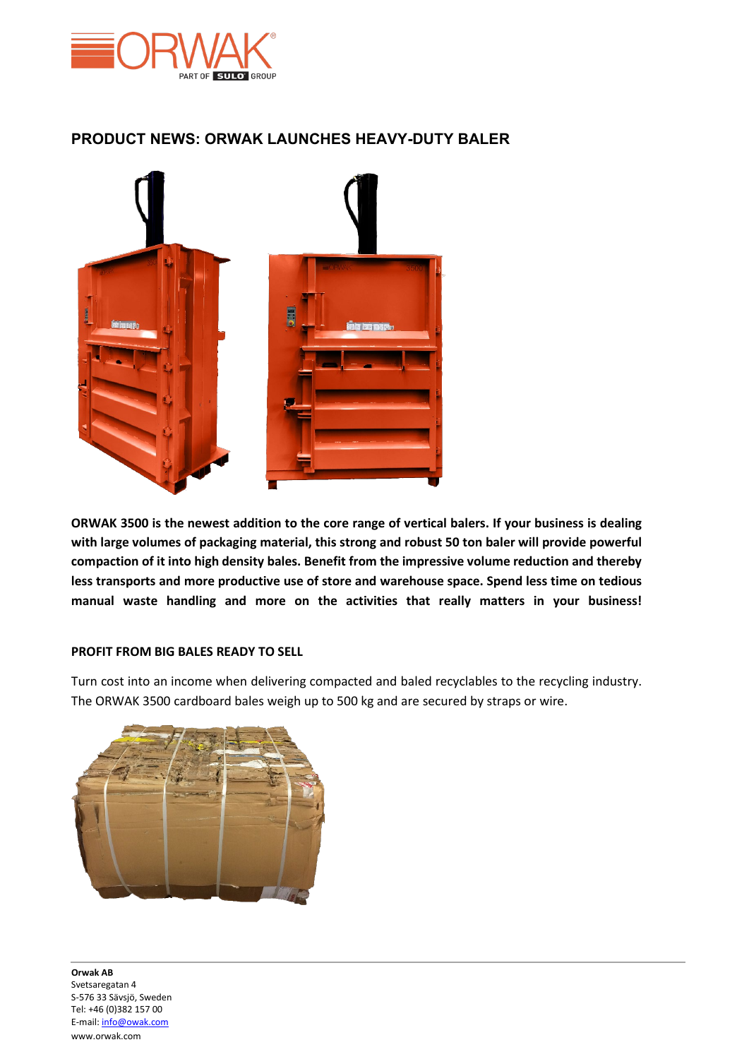

## **PRODUCT NEWS: ORWAK LAUNCHES HEAVY-DUTY BALER**



**ORWAK 3500 is the newest addition to the core range of vertical balers. If your business is dealing with large volumes of packaging material, this strong and robust 50 ton baler will provide powerful compaction of it into high density bales. Benefit from the impressive volume reduction and thereby less transports and more productive use of store and warehouse space. Spend less time on tedious manual waste handling and more on the activities that really matters in your business!**

## **PROFIT FROM BIG BALES READY TO SELL**

Turn cost into an income when delivering compacted and baled recyclables to the recycling industry. The ORWAK 3500 cardboard bales weigh up to 500 kg and are secured by straps or wire.



 **Orwak AB** Svetsaregatan 4 S-576 33 Sävsjö, Sweden Tel: +46 (0)382 157 00 E-mail[: info@owak.com](mailto:info@owak.com) www.orwak.com